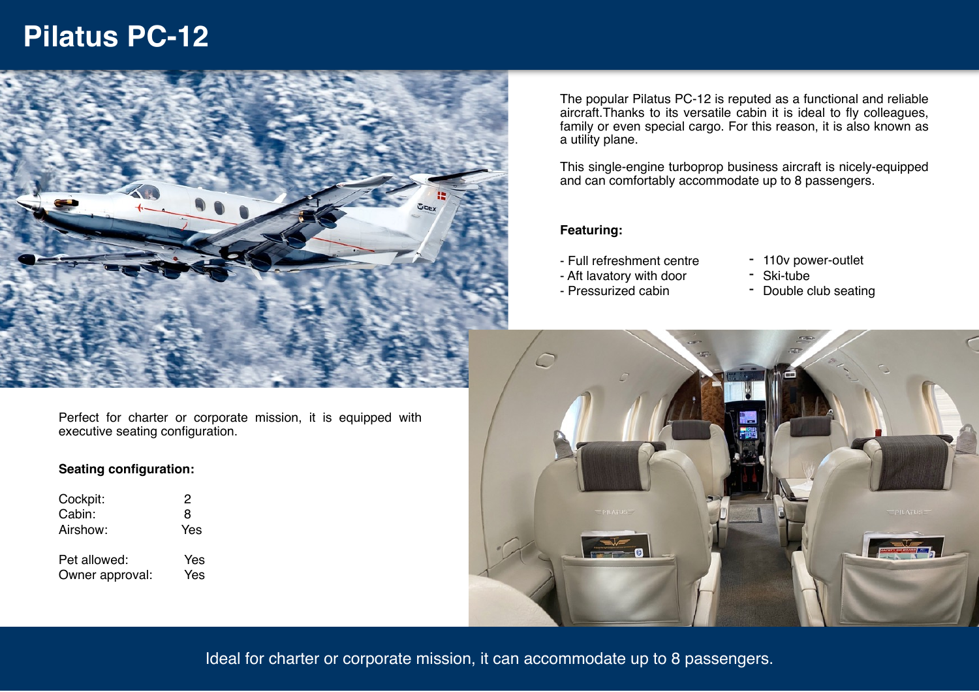# **Pilatus PC-12**



Perfect for charter or corporate mission, it is equipped with executive seating configuration.

### **Seating configuration:**

| Cockpit:        | 2   |
|-----------------|-----|
| Cabin:          | 8   |
| Airshow:        | Yes |
| Pet allowed:    | Yes |
| Owner approval: | Yes |

The popular Pilatus PC-12 is reputed as a functional and reliable aircraft.Thanks to its versatile cabin it is ideal to fly colleagues, family or even special cargo. For this reason, it is also known as a utility plane.

This single-engine turboprop business aircraft is nicely-equipped and can comfortably accommodate up to 8 passengers.

#### **Featuring:**

- Full refreshment centre
- 110v power-outlet - Ski-tube
- Aft lavatory with door - Pressurized cabin
- Double club seating



Ideal for charter or corporate mission, it can accommodate up to 8 passengers.